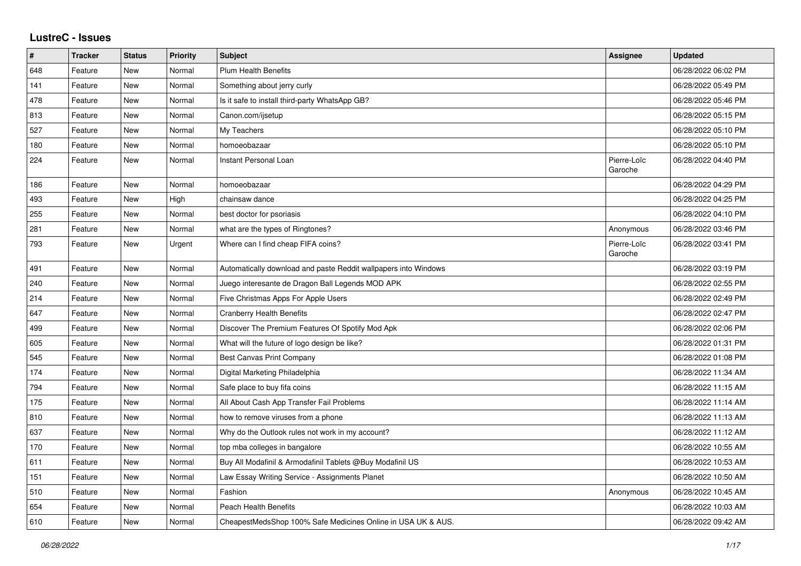## **LustreC - Issues**

| $\vert$ # | <b>Tracker</b> | <b>Status</b> | <b>Priority</b> | <b>Subject</b>                                                  | Assignee               | <b>Updated</b>      |
|-----------|----------------|---------------|-----------------|-----------------------------------------------------------------|------------------------|---------------------|
| 648       | Feature        | New           | Normal          | <b>Plum Health Benefits</b>                                     |                        | 06/28/2022 06:02 PM |
| 141       | Feature        | <b>New</b>    | Normal          | Something about jerry curly                                     |                        | 06/28/2022 05:49 PM |
| 478       | Feature        | New           | Normal          | Is it safe to install third-party WhatsApp GB?                  |                        | 06/28/2022 05:46 PM |
| 813       | Feature        | New           | Normal          | Canon.com/ijsetup                                               |                        | 06/28/2022 05:15 PM |
| 527       | Feature        | <b>New</b>    | Normal          | My Teachers                                                     |                        | 06/28/2022 05:10 PM |
| 180       | Feature        | New           | Normal          | homoeobazaar                                                    |                        | 06/28/2022 05:10 PM |
| 224       | Feature        | New           | Normal          | Instant Personal Loan                                           | Pierre-Loïc<br>Garoche | 06/28/2022 04:40 PM |
| 186       | Feature        | New           | Normal          | homoeobazaar                                                    |                        | 06/28/2022 04:29 PM |
| 493       | Feature        | New           | High            | chainsaw dance                                                  |                        | 06/28/2022 04:25 PM |
| 255       | Feature        | New           | Normal          | best doctor for psoriasis                                       |                        | 06/28/2022 04:10 PM |
| 281       | Feature        | New           | Normal          | what are the types of Ringtones?                                | Anonymous              | 06/28/2022 03:46 PM |
| 793       | Feature        | <b>New</b>    | Urgent          | Where can I find cheap FIFA coins?                              | Pierre-Loïc<br>Garoche | 06/28/2022 03:41 PM |
| 491       | Feature        | <b>New</b>    | Normal          | Automatically download and paste Reddit wallpapers into Windows |                        | 06/28/2022 03:19 PM |
| 240       | Feature        | New           | Normal          | Juego interesante de Dragon Ball Legends MOD APK                |                        | 06/28/2022 02:55 PM |
| 214       | Feature        | New           | Normal          | Five Christmas Apps For Apple Users                             |                        | 06/28/2022 02:49 PM |
| 647       | Feature        | New           | Normal          | <b>Cranberry Health Benefits</b>                                |                        | 06/28/2022 02:47 PM |
| 499       | Feature        | <b>New</b>    | Normal          | Discover The Premium Features Of Spotify Mod Apk                |                        | 06/28/2022 02:06 PM |
| 605       | Feature        | New           | Normal          | What will the future of logo design be like?                    |                        | 06/28/2022 01:31 PM |
| 545       | Feature        | New           | Normal          | <b>Best Canvas Print Company</b>                                |                        | 06/28/2022 01:08 PM |
| 174       | Feature        | New           | Normal          | Digital Marketing Philadelphia                                  |                        | 06/28/2022 11:34 AM |
| 794       | Feature        | New           | Normal          | Safe place to buy fifa coins                                    |                        | 06/28/2022 11:15 AM |
| 175       | Feature        | New           | Normal          | All About Cash App Transfer Fail Problems                       |                        | 06/28/2022 11:14 AM |
| 810       | Feature        | New           | Normal          | how to remove viruses from a phone                              |                        | 06/28/2022 11:13 AM |
| 637       | Feature        | New           | Normal          | Why do the Outlook rules not work in my account?                |                        | 06/28/2022 11:12 AM |
| 170       | Feature        | New           | Normal          | top mba colleges in bangalore                                   |                        | 06/28/2022 10:55 AM |
| 611       | Feature        | New           | Normal          | Buy All Modafinil & Armodafinil Tablets @Buy Modafinil US       |                        | 06/28/2022 10:53 AM |
| 151       | Feature        | New           | Normal          | Law Essay Writing Service - Assignments Planet                  |                        | 06/28/2022 10:50 AM |
| 510       | Feature        | New           | Normal          | Fashion                                                         | Anonymous              | 06/28/2022 10:45 AM |
| 654       | Feature        | New           | Normal          | <b>Peach Health Benefits</b>                                    |                        | 06/28/2022 10:03 AM |
| 610       | Feature        | <b>New</b>    | Normal          | CheapestMedsShop 100% Safe Medicines Online in USA UK & AUS.    |                        | 06/28/2022 09:42 AM |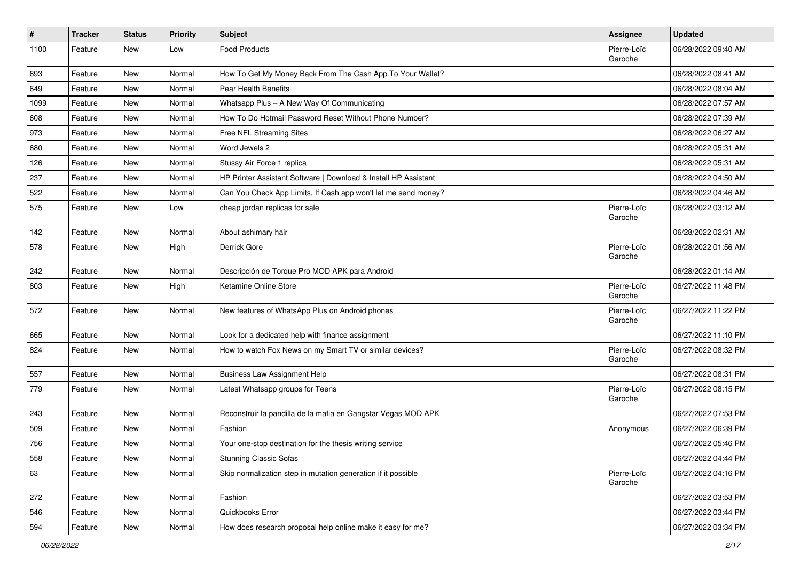| $\#$ | <b>Tracker</b> | <b>Status</b> | <b>Priority</b> | Subject                                                         | Assignee               | <b>Updated</b>      |
|------|----------------|---------------|-----------------|-----------------------------------------------------------------|------------------------|---------------------|
| 1100 | Feature        | New           | Low             | <b>Food Products</b>                                            | Pierre-Loïc<br>Garoche | 06/28/2022 09:40 AM |
| 693  | Feature        | New           | Normal          | How To Get My Money Back From The Cash App To Your Wallet?      |                        | 06/28/2022 08:41 AM |
| 649  | Feature        | New           | Normal          | Pear Health Benefits                                            |                        | 06/28/2022 08:04 AM |
| 1099 | Feature        | New           | Normal          | Whatsapp Plus - A New Way Of Communicating                      |                        | 06/28/2022 07:57 AM |
| 608  | Feature        | New           | Normal          | How To Do Hotmail Password Reset Without Phone Number?          |                        | 06/28/2022 07:39 AM |
| 973  | Feature        | <b>New</b>    | Normal          | Free NFL Streaming Sites                                        |                        | 06/28/2022 06:27 AM |
| 680  | Feature        | New           | Normal          | Word Jewels 2                                                   |                        | 06/28/2022 05:31 AM |
| 126  | Feature        | New           | Normal          | Stussy Air Force 1 replica                                      |                        | 06/28/2022 05:31 AM |
| 237  | Feature        | New           | Normal          | HP Printer Assistant Software   Download & Install HP Assistant |                        | 06/28/2022 04:50 AM |
| 522  | Feature        | New           | Normal          | Can You Check App Limits, If Cash app won't let me send money?  |                        | 06/28/2022 04:46 AM |
| 575  | Feature        | New           | Low             | cheap jordan replicas for sale                                  | Pierre-Loïc<br>Garoche | 06/28/2022 03:12 AM |
| 142  | Feature        | New           | Normal          | About ashimary hair                                             |                        | 06/28/2022 02:31 AM |
| 578  | Feature        | <b>New</b>    | High            | Derrick Gore                                                    | Pierre-Loïc<br>Garoche | 06/28/2022 01:56 AM |
| 242  | Feature        | <b>New</b>    | Normal          | Descripción de Torque Pro MOD APK para Android                  |                        | 06/28/2022 01:14 AM |
| 803  | Feature        | New           | High            | Ketamine Online Store                                           | Pierre-Loïc<br>Garoche | 06/27/2022 11:48 PM |
| 572  | Feature        | New           | Normal          | New features of WhatsApp Plus on Android phones                 | Pierre-Loïc<br>Garoche | 06/27/2022 11:22 PM |
| 665  | Feature        | New           | Normal          | Look for a dedicated help with finance assignment               |                        | 06/27/2022 11:10 PM |
| 824  | Feature        | New           | Normal          | How to watch Fox News on my Smart TV or similar devices?        | Pierre-Loïc<br>Garoche | 06/27/2022 08:32 PM |
| 557  | Feature        | <b>New</b>    | Normal          | <b>Business Law Assignment Help</b>                             |                        | 06/27/2022 08:31 PM |
| 779  | Feature        | New           | Normal          | Latest Whatsapp groups for Teens                                | Pierre-Loïc<br>Garoche | 06/27/2022 08:15 PM |
| 243  | Feature        | <b>New</b>    | Normal          | Reconstruir la pandilla de la mafia en Gangstar Vegas MOD APK   |                        | 06/27/2022 07:53 PM |
| 509  | Feature        | New           | Normal          | Fashion                                                         | Anonymous              | 06/27/2022 06:39 PM |
| 756  | Feature        | New           | Normal          | Your one-stop destination for the thesis writing service        |                        | 06/27/2022 05:46 PM |
| 558  | Feature        | New           | Normal          | <b>Stunning Classic Sofas</b>                                   |                        | 06/27/2022 04:44 PM |
| 63   | Feature        | New           | Normal          | Skip normalization step in mutation generation if it possible   | Pierre-Loïc<br>Garoche | 06/27/2022 04:16 PM |
| 272  | Feature        | New           | Normal          | Fashion                                                         |                        | 06/27/2022 03:53 PM |
| 546  | Feature        | New           | Normal          | Quickbooks Error                                                |                        | 06/27/2022 03:44 PM |
| 594  | Feature        | New           | Normal          | How does research proposal help online make it easy for me?     |                        | 06/27/2022 03:34 PM |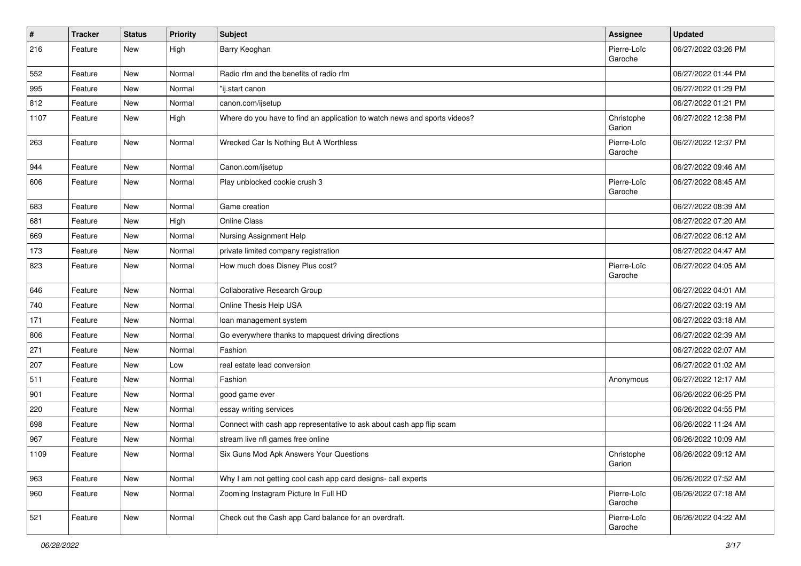| $\vert$ # | <b>Tracker</b> | <b>Status</b> | <b>Priority</b> | <b>Subject</b>                                                            | Assignee               | <b>Updated</b>      |
|-----------|----------------|---------------|-----------------|---------------------------------------------------------------------------|------------------------|---------------------|
| 216       | Feature        | New           | High            | Barry Keoghan                                                             | Pierre-Loïc<br>Garoche | 06/27/2022 03:26 PM |
| 552       | Feature        | New           | Normal          | Radio rfm and the benefits of radio rfm                                   |                        | 06/27/2022 01:44 PM |
| 995       | Feature        | New           | Normal          | "ij.start canon                                                           |                        | 06/27/2022 01:29 PM |
| 812       | Feature        | New           | Normal          | canon.com/ijsetup                                                         |                        | 06/27/2022 01:21 PM |
| 1107      | Feature        | New           | High            | Where do you have to find an application to watch news and sports videos? | Christophe<br>Garion   | 06/27/2022 12:38 PM |
| 263       | Feature        | New           | Normal          | Wrecked Car Is Nothing But A Worthless                                    | Pierre-Loïc<br>Garoche | 06/27/2022 12:37 PM |
| 944       | Feature        | New           | Normal          | Canon.com/ijsetup                                                         |                        | 06/27/2022 09:46 AM |
| 606       | Feature        | New           | Normal          | Play unblocked cookie crush 3                                             | Pierre-Loïc<br>Garoche | 06/27/2022 08:45 AM |
| 683       | Feature        | New           | Normal          | Game creation                                                             |                        | 06/27/2022 08:39 AM |
| 681       | Feature        | New           | High            | <b>Online Class</b>                                                       |                        | 06/27/2022 07:20 AM |
| 669       | Feature        | New           | Normal          | Nursing Assignment Help                                                   |                        | 06/27/2022 06:12 AM |
| 173       | Feature        | New           | Normal          | private limited company registration                                      |                        | 06/27/2022 04:47 AM |
| 823       | Feature        | New           | Normal          | How much does Disney Plus cost?                                           | Pierre-Loïc<br>Garoche | 06/27/2022 04:05 AM |
| 646       | Feature        | New           | Normal          | Collaborative Research Group                                              |                        | 06/27/2022 04:01 AM |
| 740       | Feature        | New           | Normal          | Online Thesis Help USA                                                    |                        | 06/27/2022 03:19 AM |
| 171       | Feature        | New           | Normal          | loan management system                                                    |                        | 06/27/2022 03:18 AM |
| 806       | Feature        | New           | Normal          | Go everywhere thanks to mapquest driving directions                       |                        | 06/27/2022 02:39 AM |
| 271       | Feature        | New           | Normal          | Fashion                                                                   |                        | 06/27/2022 02:07 AM |
| 207       | Feature        | New           | Low             | real estate lead conversion                                               |                        | 06/27/2022 01:02 AM |
| 511       | Feature        | New           | Normal          | Fashion                                                                   | Anonymous              | 06/27/2022 12:17 AM |
| 901       | Feature        | New           | Normal          | good game ever                                                            |                        | 06/26/2022 06:25 PM |
| 220       | Feature        | New           | Normal          | essay writing services                                                    |                        | 06/26/2022 04:55 PM |
| 698       | Feature        | New           | Normal          | Connect with cash app representative to ask about cash app flip scam      |                        | 06/26/2022 11:24 AM |
| 967       | Feature        | New           | Normal          | stream live nfl games free online                                         |                        | 06/26/2022 10:09 AM |
| 1109      | Feature        | New           | Normal          | Six Guns Mod Apk Answers Your Questions                                   | Christophe<br>Garion   | 06/26/2022 09:12 AM |
| 963       | Feature        | New           | Normal          | Why I am not getting cool cash app card designs- call experts             |                        | 06/26/2022 07:52 AM |
| 960       | Feature        | New           | Normal          | Zooming Instagram Picture In Full HD                                      | Pierre-Loïc<br>Garoche | 06/26/2022 07:18 AM |
| 521       | Feature        | New           | Normal          | Check out the Cash app Card balance for an overdraft.                     | Pierre-Loïc<br>Garoche | 06/26/2022 04:22 AM |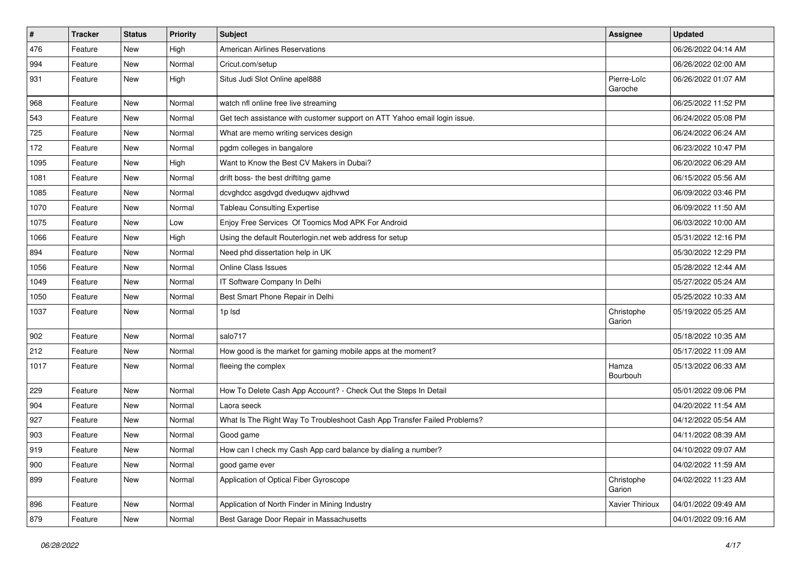| $\vert$ # | Tracker | <b>Status</b> | Priority | <b>Subject</b>                                                            | <b>Assignee</b>        | <b>Updated</b>      |
|-----------|---------|---------------|----------|---------------------------------------------------------------------------|------------------------|---------------------|
| 476       | Feature | New           | High     | <b>American Airlines Reservations</b>                                     |                        | 06/26/2022 04:14 AM |
| 994       | Feature | <b>New</b>    | Normal   | Cricut.com/setup                                                          |                        | 06/26/2022 02:00 AM |
| 931       | Feature | New           | High     | Situs Judi Slot Online apel888                                            | Pierre-Loïc<br>Garoche | 06/26/2022 01:07 AM |
| 968       | Feature | New           | Normal   | watch nfl online free live streaming                                      |                        | 06/25/2022 11:52 PM |
| 543       | Feature | New           | Normal   | Get tech assistance with customer support on ATT Yahoo email login issue. |                        | 06/24/2022 05:08 PM |
| 725       | Feature | New           | Normal   | What are memo writing services design                                     |                        | 06/24/2022 06:24 AM |
| 172       | Feature | New           | Normal   | pgdm colleges in bangalore                                                |                        | 06/23/2022 10:47 PM |
| 1095      | Feature | New           | High     | Want to Know the Best CV Makers in Dubai?                                 |                        | 06/20/2022 06:29 AM |
| 1081      | Feature | New           | Normal   | drift boss- the best driftitng game                                       |                        | 06/15/2022 05:56 AM |
| 1085      | Feature | New           | Normal   | dcvghdcc asgdvgd dveduqwv ajdhvwd                                         |                        | 06/09/2022 03:46 PM |
| 1070      | Feature | New           | Normal   | <b>Tableau Consulting Expertise</b>                                       |                        | 06/09/2022 11:50 AM |
| 1075      | Feature | New           | Low      | Enjoy Free Services Of Toomics Mod APK For Android                        |                        | 06/03/2022 10:00 AM |
| 1066      | Feature | New           | High     | Using the default Routerlogin.net web address for setup                   |                        | 05/31/2022 12:16 PM |
| 894       | Feature | New           | Normal   | Need phd dissertation help in UK                                          |                        | 05/30/2022 12:29 PM |
| 1056      | Feature | New           | Normal   | <b>Online Class Issues</b>                                                |                        | 05/28/2022 12:44 AM |
| 1049      | Feature | New           | Normal   | IT Software Company In Delhi                                              |                        | 05/27/2022 05:24 AM |
| 1050      | Feature | New           | Normal   | Best Smart Phone Repair in Delhi                                          |                        | 05/25/2022 10:33 AM |
| 1037      | Feature | New           | Normal   | 1p lsd                                                                    | Christophe<br>Garion   | 05/19/2022 05:25 AM |
| 902       | Feature | <b>New</b>    | Normal   | salo717                                                                   |                        | 05/18/2022 10:35 AM |
| 212       | Feature | New           | Normal   | How good is the market for gaming mobile apps at the moment?              |                        | 05/17/2022 11:09 AM |
| 1017      | Feature | New           | Normal   | fleeing the complex                                                       | Hamza<br>Bourbouh      | 05/13/2022 06:33 AM |
| 229       | Feature | New           | Normal   | How To Delete Cash App Account? - Check Out the Steps In Detail           |                        | 05/01/2022 09:06 PM |
| 904       | Feature | New           | Normal   | Laora seeck                                                               |                        | 04/20/2022 11:54 AM |
| 927       | Feature | New           | Normal   | What Is The Right Way To Troubleshoot Cash App Transfer Failed Problems?  |                        | 04/12/2022 05:54 AM |
| 903       | Feature | New           | Normal   | Good game                                                                 |                        | 04/11/2022 08:39 AM |
| 919       | Feature | New           | Normal   | How can I check my Cash App card balance by dialing a number?             |                        | 04/10/2022 09:07 AM |
| 900       | Feature | New           | Normal   | good game ever                                                            |                        | 04/02/2022 11:59 AM |
| 899       | Feature | New           | Normal   | Application of Optical Fiber Gyroscope                                    | Christophe<br>Garion   | 04/02/2022 11:23 AM |
| 896       | Feature | New           | Normal   | Application of North Finder in Mining Industry                            | Xavier Thirioux        | 04/01/2022 09:49 AM |
| 879       | Feature | New           | Normal   | Best Garage Door Repair in Massachusetts                                  |                        | 04/01/2022 09:16 AM |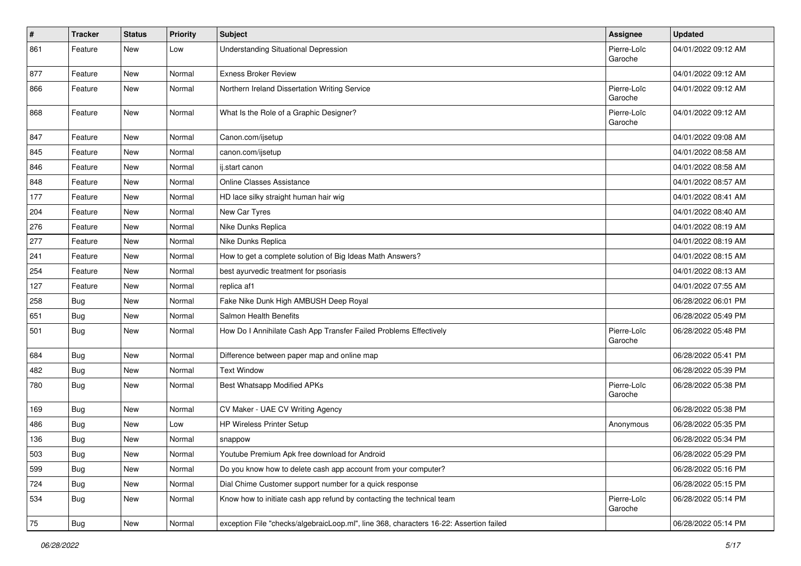| #   | Tracker    | <b>Status</b> | <b>Priority</b> | <b>Subject</b>                                                                         | Assignee               | <b>Updated</b>      |
|-----|------------|---------------|-----------------|----------------------------------------------------------------------------------------|------------------------|---------------------|
| 861 | Feature    | New           | Low             | <b>Understanding Situational Depression</b>                                            | Pierre-Loïc<br>Garoche | 04/01/2022 09:12 AM |
| 877 | Feature    | New           | Normal          | <b>Exness Broker Review</b>                                                            |                        | 04/01/2022 09:12 AM |
| 866 | Feature    | New           | Normal          | Northern Ireland Dissertation Writing Service                                          | Pierre-Loïc<br>Garoche | 04/01/2022 09:12 AM |
| 868 | Feature    | New           | Normal          | What Is the Role of a Graphic Designer?                                                | Pierre-Loïc<br>Garoche | 04/01/2022 09:12 AM |
| 847 | Feature    | New           | Normal          | Canon.com/ijsetup                                                                      |                        | 04/01/2022 09:08 AM |
| 845 | Feature    | New           | Normal          | canon.com/ijsetup                                                                      |                        | 04/01/2022 08:58 AM |
| 846 | Feature    | <b>New</b>    | Normal          | ij.start canon                                                                         |                        | 04/01/2022 08:58 AM |
| 848 | Feature    | New           | Normal          | <b>Online Classes Assistance</b>                                                       |                        | 04/01/2022 08:57 AM |
| 177 | Feature    | New           | Normal          | HD lace silky straight human hair wig                                                  |                        | 04/01/2022 08:41 AM |
| 204 | Feature    | New           | Normal          | New Car Tyres                                                                          |                        | 04/01/2022 08:40 AM |
| 276 | Feature    | New           | Normal          | Nike Dunks Replica                                                                     |                        | 04/01/2022 08:19 AM |
| 277 | Feature    | New           | Normal          | Nike Dunks Replica                                                                     |                        | 04/01/2022 08:19 AM |
| 241 | Feature    | New           | Normal          | How to get a complete solution of Big Ideas Math Answers?                              |                        | 04/01/2022 08:15 AM |
| 254 | Feature    | New           | Normal          | best ayurvedic treatment for psoriasis                                                 |                        | 04/01/2022 08:13 AM |
| 127 | Feature    | New           | Normal          | replica af1                                                                            |                        | 04/01/2022 07:55 AM |
| 258 | <b>Bug</b> | New           | Normal          | Fake Nike Dunk High AMBUSH Deep Royal                                                  |                        | 06/28/2022 06:01 PM |
| 651 | Bug        | New           | Normal          | Salmon Health Benefits                                                                 |                        | 06/28/2022 05:49 PM |
| 501 | <b>Bug</b> | New           | Normal          | How Do I Annihilate Cash App Transfer Failed Problems Effectively                      | Pierre-Loïc<br>Garoche | 06/28/2022 05:48 PM |
| 684 | Bug        | New           | Normal          | Difference between paper map and online map                                            |                        | 06/28/2022 05:41 PM |
| 482 | <b>Bug</b> | New           | Normal          | <b>Text Window</b>                                                                     |                        | 06/28/2022 05:39 PM |
| 780 | <b>Bug</b> | New           | Normal          | Best Whatsapp Modified APKs                                                            | Pierre-Loïc<br>Garoche | 06/28/2022 05:38 PM |
| 169 | <b>Bug</b> | New           | Normal          | CV Maker - UAE CV Writing Agency                                                       |                        | 06/28/2022 05:38 PM |
| 486 | <b>Bug</b> | New           | Low             | HP Wireless Printer Setup                                                              | Anonymous              | 06/28/2022 05:35 PM |
| 136 | Bug        | New           | Normal          | snappow                                                                                |                        | 06/28/2022 05:34 PM |
| 503 | Bug        | New           | Normal          | Youtube Premium Apk free download for Android                                          |                        | 06/28/2022 05:29 PM |
| 599 | <b>Bug</b> | New           | Normal          | Do you know how to delete cash app account from your computer?                         |                        | 06/28/2022 05:16 PM |
| 724 | Bug        | New           | Normal          | Dial Chime Customer support number for a quick response                                |                        | 06/28/2022 05:15 PM |
| 534 | Bug        | New           | Normal          | Know how to initiate cash app refund by contacting the technical team                  | Pierre-Loïc<br>Garoche | 06/28/2022 05:14 PM |
| 75  | <b>Bug</b> | New           | Normal          | exception File "checks/algebraicLoop.ml", line 368, characters 16-22: Assertion failed |                        | 06/28/2022 05:14 PM |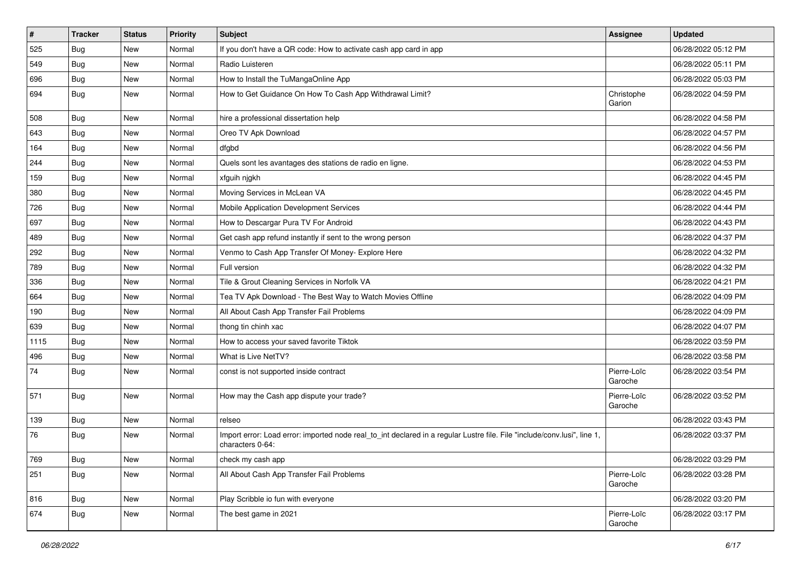| $\vert$ # | <b>Tracker</b> | <b>Status</b> | <b>Priority</b> | Subject                                                                                                                                      | Assignee               | <b>Updated</b>      |
|-----------|----------------|---------------|-----------------|----------------------------------------------------------------------------------------------------------------------------------------------|------------------------|---------------------|
| 525       | Bug            | New           | Normal          | If you don't have a QR code: How to activate cash app card in app                                                                            |                        | 06/28/2022 05:12 PM |
| 549       | Bug            | <b>New</b>    | Normal          | Radio Luisteren                                                                                                                              |                        | 06/28/2022 05:11 PM |
| 696       | Bug            | New           | Normal          | How to Install the TuMangaOnline App                                                                                                         |                        | 06/28/2022 05:03 PM |
| 694       | Bug            | <b>New</b>    | Normal          | How to Get Guidance On How To Cash App Withdrawal Limit?                                                                                     | Christophe<br>Garion   | 06/28/2022 04:59 PM |
| 508       | Bug            | <b>New</b>    | Normal          | hire a professional dissertation help                                                                                                        |                        | 06/28/2022 04:58 PM |
| 643       | Bug            | <b>New</b>    | Normal          | Oreo TV Apk Download                                                                                                                         |                        | 06/28/2022 04:57 PM |
| 164       | Bug            | New           | Normal          | dfgbd                                                                                                                                        |                        | 06/28/2022 04:56 PM |
| 244       | Bug            | <b>New</b>    | Normal          | Quels sont les avantages des stations de radio en ligne.                                                                                     |                        | 06/28/2022 04:53 PM |
| 159       | Bug            | <b>New</b>    | Normal          | xfguih njgkh                                                                                                                                 |                        | 06/28/2022 04:45 PM |
| 380       | Bug            | New           | Normal          | Moving Services in McLean VA                                                                                                                 |                        | 06/28/2022 04:45 PM |
| 726       | Bug            | <b>New</b>    | Normal          | Mobile Application Development Services                                                                                                      |                        | 06/28/2022 04:44 PM |
| 697       | Bug            | <b>New</b>    | Normal          | How to Descargar Pura TV For Android                                                                                                         |                        | 06/28/2022 04:43 PM |
| 489       | Bug            | New           | Normal          | Get cash app refund instantly if sent to the wrong person                                                                                    |                        | 06/28/2022 04:37 PM |
| 292       | Bug            | <b>New</b>    | Normal          | Venmo to Cash App Transfer Of Money- Explore Here                                                                                            |                        | 06/28/2022 04:32 PM |
| 789       | Bug            | New           | Normal          | Full version                                                                                                                                 |                        | 06/28/2022 04:32 PM |
| 336       | Bug            | <b>New</b>    | Normal          | Tile & Grout Cleaning Services in Norfolk VA                                                                                                 |                        | 06/28/2022 04:21 PM |
| 664       | Bug            | <b>New</b>    | Normal          | Tea TV Apk Download - The Best Way to Watch Movies Offline                                                                                   |                        | 06/28/2022 04:09 PM |
| 190       | Bug            | <b>New</b>    | Normal          | All About Cash App Transfer Fail Problems                                                                                                    |                        | 06/28/2022 04:09 PM |
| 639       | Bug            | <b>New</b>    | Normal          | thong tin chinh xac                                                                                                                          |                        | 06/28/2022 04:07 PM |
| 1115      | Bug            | New           | Normal          | How to access your saved favorite Tiktok                                                                                                     |                        | 06/28/2022 03:59 PM |
| 496       | Bug            | <b>New</b>    | Normal          | What is Live NetTV?                                                                                                                          |                        | 06/28/2022 03:58 PM |
| 74        | <b>Bug</b>     | <b>New</b>    | Normal          | const is not supported inside contract                                                                                                       | Pierre-Loïc<br>Garoche | 06/28/2022 03:54 PM |
| 571       | Bug            | <b>New</b>    | Normal          | How may the Cash app dispute your trade?                                                                                                     | Pierre-Loïc<br>Garoche | 06/28/2022 03:52 PM |
| 139       | Bug            | <b>New</b>    | Normal          | relseo                                                                                                                                       |                        | 06/28/2022 03:43 PM |
| 76        | Bug            | <b>New</b>    | Normal          | Import error: Load error: imported node real_to_int declared in a regular Lustre file. File "include/conv.lusi", line 1,<br>characters 0-64: |                        | 06/28/2022 03:37 PM |
| 769       | <b>Bug</b>     | New           | Normal          | check my cash app                                                                                                                            |                        | 06/28/2022 03:29 PM |
| 251       | Bug            | New           | Normal          | All About Cash App Transfer Fail Problems                                                                                                    | Pierre-Loïc<br>Garoche | 06/28/2022 03:28 PM |
| 816       | Bug            | New           | Normal          | Play Scribble io fun with everyone                                                                                                           |                        | 06/28/2022 03:20 PM |
| 674       | <b>Bug</b>     | New           | Normal          | The best game in 2021                                                                                                                        | Pierre-Loïc<br>Garoche | 06/28/2022 03:17 PM |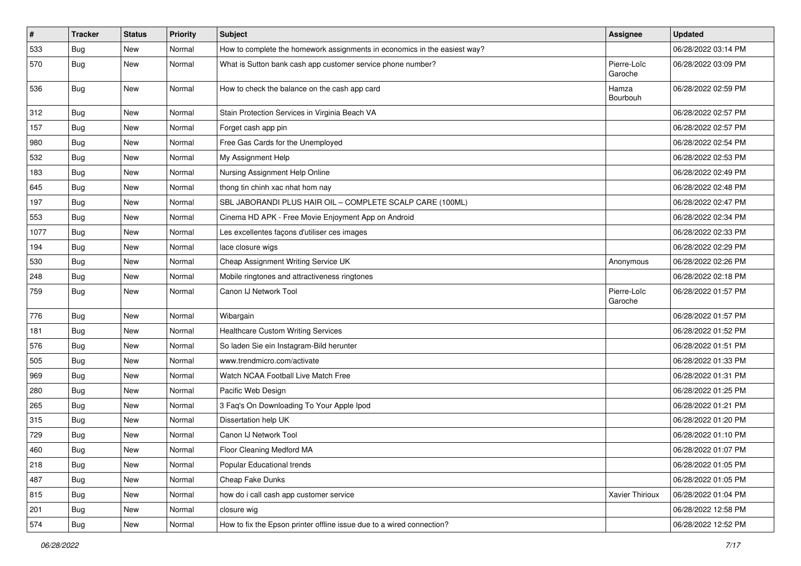| $\vert$ # | <b>Tracker</b> | <b>Status</b> | <b>Priority</b> | <b>Subject</b>                                                            | <b>Assignee</b>        | <b>Updated</b>      |
|-----------|----------------|---------------|-----------------|---------------------------------------------------------------------------|------------------------|---------------------|
| 533       | <b>Bug</b>     | New           | Normal          | How to complete the homework assignments in economics in the easiest way? |                        | 06/28/2022 03:14 PM |
| 570       | Bug            | New           | Normal          | What is Sutton bank cash app customer service phone number?               | Pierre-Loïc<br>Garoche | 06/28/2022 03:09 PM |
| 536       | <b>Bug</b>     | New           | Normal          | How to check the balance on the cash app card                             | Hamza<br>Bourbouh      | 06/28/2022 02:59 PM |
| 312       | Bug            | New           | Normal          | Stain Protection Services in Virginia Beach VA                            |                        | 06/28/2022 02:57 PM |
| 157       | <b>Bug</b>     | New           | Normal          | Forget cash app pin                                                       |                        | 06/28/2022 02:57 PM |
| 980       | <b>Bug</b>     | <b>New</b>    | Normal          | Free Gas Cards for the Unemployed                                         |                        | 06/28/2022 02:54 PM |
| 532       | <b>Bug</b>     | New           | Normal          | My Assignment Help                                                        |                        | 06/28/2022 02:53 PM |
| 183       | <b>Bug</b>     | New           | Normal          | Nursing Assignment Help Online                                            |                        | 06/28/2022 02:49 PM |
| 645       | Bug            | New           | Normal          | thong tin chinh xac nhat hom nay                                          |                        | 06/28/2022 02:48 PM |
| 197       | <b>Bug</b>     | New           | Normal          | SBL JABORANDI PLUS HAIR OIL - COMPLETE SCALP CARE (100ML)                 |                        | 06/28/2022 02:47 PM |
| 553       | Bug            | <b>New</b>    | Normal          | Cinema HD APK - Free Movie Enjoyment App on Android                       |                        | 06/28/2022 02:34 PM |
| 1077      | <b>Bug</b>     | New           | Normal          | Les excellentes façons d'utiliser ces images                              |                        | 06/28/2022 02:33 PM |
| 194       | Bug            | New           | Normal          | lace closure wigs                                                         |                        | 06/28/2022 02:29 PM |
| 530       | Bug            | New           | Normal          | Cheap Assignment Writing Service UK                                       | Anonymous              | 06/28/2022 02:26 PM |
| 248       | <b>Bug</b>     | New           | Normal          | Mobile ringtones and attractiveness ringtones                             |                        | 06/28/2022 02:18 PM |
| 759       | <b>Bug</b>     | New           | Normal          | Canon IJ Network Tool                                                     | Pierre-Loïc<br>Garoche | 06/28/2022 01:57 PM |
| 776       | <b>Bug</b>     | New           | Normal          | Wibargain                                                                 |                        | 06/28/2022 01:57 PM |
| 181       | Bug            | <b>New</b>    | Normal          | <b>Healthcare Custom Writing Services</b>                                 |                        | 06/28/2022 01:52 PM |
| 576       | <b>Bug</b>     | New           | Normal          | So laden Sie ein Instagram-Bild herunter                                  |                        | 06/28/2022 01:51 PM |
| 505       | <b>Bug</b>     | New           | Normal          | www.trendmicro.com/activate                                               |                        | 06/28/2022 01:33 PM |
| 969       | <b>Bug</b>     | New           | Normal          | Watch NCAA Football Live Match Free                                       |                        | 06/28/2022 01:31 PM |
| 280       | <b>Bug</b>     | New           | Normal          | Pacific Web Design                                                        |                        | 06/28/2022 01:25 PM |
| 265       | Bug            | <b>New</b>    | Normal          | 3 Faq's On Downloading To Your Apple Ipod                                 |                        | 06/28/2022 01:21 PM |
| 315       | <b>Bug</b>     | New           | Normal          | Dissertation help UK                                                      |                        | 06/28/2022 01:20 PM |
| 729       | <b>Bug</b>     | New           | Normal          | Canon IJ Network Tool                                                     |                        | 06/28/2022 01:10 PM |
| 460       | Bug            | New           | Normal          | Floor Cleaning Medford MA                                                 |                        | 06/28/2022 01:07 PM |
| 218       | Bug            | New           | Normal          | Popular Educational trends                                                |                        | 06/28/2022 01:05 PM |
| 487       | Bug            | New           | Normal          | Cheap Fake Dunks                                                          |                        | 06/28/2022 01:05 PM |
| 815       | Bug            | New           | Normal          | how do i call cash app customer service                                   | Xavier Thirioux        | 06/28/2022 01:04 PM |
| 201       | Bug            | New           | Normal          | closure wig                                                               |                        | 06/28/2022 12:58 PM |
| 574       | Bug            | New           | Normal          | How to fix the Epson printer offline issue due to a wired connection?     |                        | 06/28/2022 12:52 PM |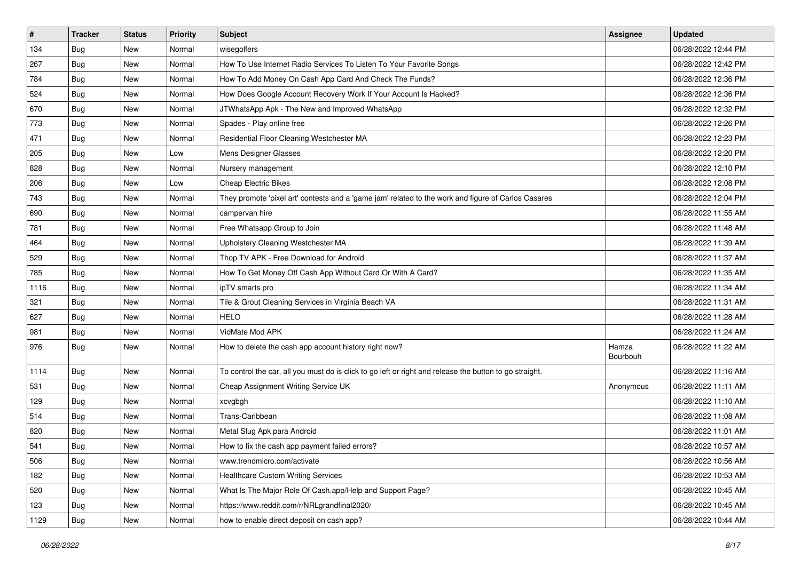| $\vert$ # | <b>Tracker</b> | <b>Status</b> | <b>Priority</b> | <b>Subject</b>                                                                                          | Assignee          | <b>Updated</b>      |
|-----------|----------------|---------------|-----------------|---------------------------------------------------------------------------------------------------------|-------------------|---------------------|
| 134       | <b>Bug</b>     | New           | Normal          | wisegolfers                                                                                             |                   | 06/28/2022 12:44 PM |
| 267       | Bug            | <b>New</b>    | Normal          | How To Use Internet Radio Services To Listen To Your Favorite Songs                                     |                   | 06/28/2022 12:42 PM |
| 784       | Bug            | New           | Normal          | How To Add Money On Cash App Card And Check The Funds?                                                  |                   | 06/28/2022 12:36 PM |
| 524       | Bug            | <b>New</b>    | Normal          | How Does Google Account Recovery Work If Your Account Is Hacked?                                        |                   | 06/28/2022 12:36 PM |
| 670       | Bug            | <b>New</b>    | Normal          | JTWhatsApp Apk - The New and Improved WhatsApp                                                          |                   | 06/28/2022 12:32 PM |
| 773       | Bug            | <b>New</b>    | Normal          | Spades - Play online free                                                                               |                   | 06/28/2022 12:26 PM |
| 471       | Bug            | New           | Normal          | Residential Floor Cleaning Westchester MA                                                               |                   | 06/28/2022 12:23 PM |
| 205       | <b>Bug</b>     | <b>New</b>    | Low             | Mens Designer Glasses                                                                                   |                   | 06/28/2022 12:20 PM |
| 828       | Bug            | <b>New</b>    | Normal          | Nursery management                                                                                      |                   | 06/28/2022 12:10 PM |
| 206       | Bug            | <b>New</b>    | Low             | <b>Cheap Electric Bikes</b>                                                                             |                   | 06/28/2022 12:08 PM |
| 743       | Bug            | New           | Normal          | They promote 'pixel art' contests and a 'game jam' related to the work and figure of Carlos Casares     |                   | 06/28/2022 12:04 PM |
| 690       | Bug            | <b>New</b>    | Normal          | campervan hire                                                                                          |                   | 06/28/2022 11:55 AM |
| 781       | Bug            | <b>New</b>    | Normal          | Free Whatsapp Group to Join                                                                             |                   | 06/28/2022 11:48 AM |
| 464       | <b>Bug</b>     | New           | Normal          | Upholstery Cleaning Westchester MA                                                                      |                   | 06/28/2022 11:39 AM |
| 529       | Bug            | <b>New</b>    | Normal          | Thop TV APK - Free Download for Android                                                                 |                   | 06/28/2022 11:37 AM |
| 785       | Bug            | New           | Normal          | How To Get Money Off Cash App Without Card Or With A Card?                                              |                   | 06/28/2022 11:35 AM |
| 1116      | Bug            | <b>New</b>    | Normal          | ipTV smarts pro                                                                                         |                   | 06/28/2022 11:34 AM |
| 321       | Bug            | <b>New</b>    | Normal          | Tile & Grout Cleaning Services in Virginia Beach VA                                                     |                   | 06/28/2022 11:31 AM |
| 627       | Bug            | New           | Normal          | <b>HELO</b>                                                                                             |                   | 06/28/2022 11:28 AM |
| 981       | Bug            | New           | Normal          | VidMate Mod APK                                                                                         |                   | 06/28/2022 11:24 AM |
| 976       | Bug            | <b>New</b>    | Normal          | How to delete the cash app account history right now?                                                   | Hamza<br>Bourbouh | 06/28/2022 11:22 AM |
| 1114      | Bug            | <b>New</b>    | Normal          | To control the car, all you must do is click to go left or right and release the button to go straight. |                   | 06/28/2022 11:16 AM |
| 531       | Bug            | New           | Normal          | Cheap Assignment Writing Service UK                                                                     | Anonymous         | 06/28/2022 11:11 AM |
| 129       | <b>Bug</b>     | <b>New</b>    | Normal          | xcvgbgh                                                                                                 |                   | 06/28/2022 11:10 AM |
| 514       | Bug            | <b>New</b>    | Normal          | Trans-Caribbean                                                                                         |                   | 06/28/2022 11:08 AM |
| 820       | Bug            | New           | Normal          | Metal Slug Apk para Android                                                                             |                   | 06/28/2022 11:01 AM |
| 541       | <b>Bug</b>     | New           | Normal          | How to fix the cash app payment failed errors?                                                          |                   | 06/28/2022 10:57 AM |
| 506       | Bug            | New           | Normal          | www.trendmicro.com/activate                                                                             |                   | 06/28/2022 10:56 AM |
| 182       | Bug            | New           | Normal          | <b>Healthcare Custom Writing Services</b>                                                               |                   | 06/28/2022 10:53 AM |
| 520       | Bug            | New           | Normal          | What Is The Major Role Of Cash.app/Help and Support Page?                                               |                   | 06/28/2022 10:45 AM |
| 123       | <b>Bug</b>     | New           | Normal          | https://www.reddit.com/r/NRLgrandfinal2020/                                                             |                   | 06/28/2022 10:45 AM |
| 1129      | <b>Bug</b>     | New           | Normal          | how to enable direct deposit on cash app?                                                               |                   | 06/28/2022 10:44 AM |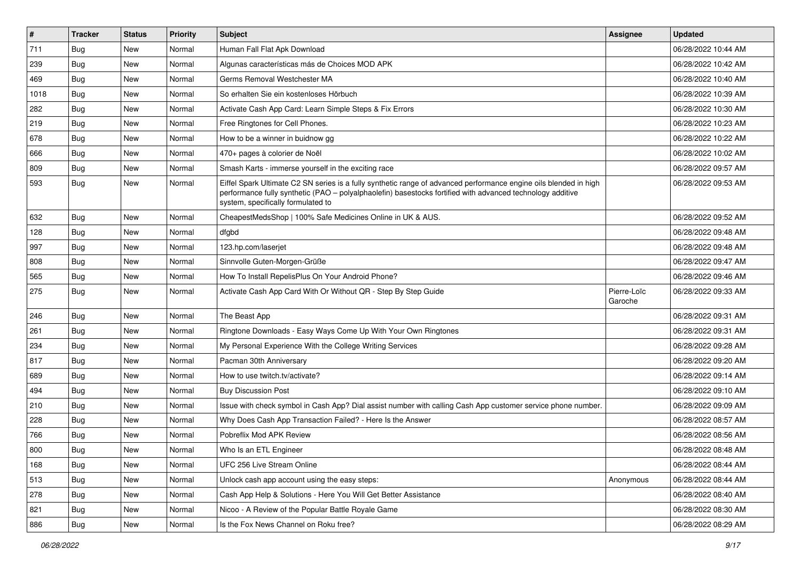| $\vert$ # | <b>Tracker</b> | <b>Status</b> | Priority | Subject                                                                                                                                                                                                                                                               | Assignee               | <b>Updated</b>      |
|-----------|----------------|---------------|----------|-----------------------------------------------------------------------------------------------------------------------------------------------------------------------------------------------------------------------------------------------------------------------|------------------------|---------------------|
| 711       | <b>Bug</b>     | New           | Normal   | Human Fall Flat Apk Download                                                                                                                                                                                                                                          |                        | 06/28/2022 10:44 AM |
| 239       | Bug            | New           | Normal   | Algunas características más de Choices MOD APK                                                                                                                                                                                                                        |                        | 06/28/2022 10:42 AM |
| 469       | Bug            | New           | Normal   | Germs Removal Westchester MA                                                                                                                                                                                                                                          |                        | 06/28/2022 10:40 AM |
| 1018      | Bug            | New           | Normal   | So erhalten Sie ein kostenloses Hörbuch                                                                                                                                                                                                                               |                        | 06/28/2022 10:39 AM |
| 282       | Bug            | New           | Normal   | Activate Cash App Card: Learn Simple Steps & Fix Errors                                                                                                                                                                                                               |                        | 06/28/2022 10:30 AM |
| 219       | Bug            | New           | Normal   | Free Ringtones for Cell Phones.                                                                                                                                                                                                                                       |                        | 06/28/2022 10:23 AM |
| 678       | Bug            | New           | Normal   | How to be a winner in buidnow gg                                                                                                                                                                                                                                      |                        | 06/28/2022 10:22 AM |
| 666       | Bug            | New           | Normal   | 470+ pages à colorier de Noël                                                                                                                                                                                                                                         |                        | 06/28/2022 10:02 AM |
| 809       | Bug            | New           | Normal   | Smash Karts - immerse yourself in the exciting race                                                                                                                                                                                                                   |                        | 06/28/2022 09:57 AM |
| 593       | <b>Bug</b>     | New           | Normal   | Eiffel Spark Ultimate C2 SN series is a fully synthetic range of advanced performance engine oils blended in high<br>performance fully synthetic (PAO - polyalphaolefin) basestocks fortified with advanced technology additive<br>system, specifically formulated to |                        | 06/28/2022 09:53 AM |
| 632       | Bug            | New           | Normal   | CheapestMedsShop   100% Safe Medicines Online in UK & AUS.                                                                                                                                                                                                            |                        | 06/28/2022 09:52 AM |
| 128       | <b>Bug</b>     | New           | Normal   | dfgbd                                                                                                                                                                                                                                                                 |                        | 06/28/2022 09:48 AM |
| 997       | Bug            | New           | Normal   | 123.hp.com/laserjet                                                                                                                                                                                                                                                   |                        | 06/28/2022 09:48 AM |
| 808       | Bug            | New           | Normal   | Sinnvolle Guten-Morgen-Grüße                                                                                                                                                                                                                                          |                        | 06/28/2022 09:47 AM |
| 565       | Bug            | New           | Normal   | How To Install RepelisPlus On Your Android Phone?                                                                                                                                                                                                                     |                        | 06/28/2022 09:46 AM |
| 275       | Bug            | New           | Normal   | Activate Cash App Card With Or Without QR - Step By Step Guide                                                                                                                                                                                                        | Pierre-Loïc<br>Garoche | 06/28/2022 09:33 AM |
| 246       | Bug            | New           | Normal   | The Beast App                                                                                                                                                                                                                                                         |                        | 06/28/2022 09:31 AM |
| 261       | Bug            | New           | Normal   | Ringtone Downloads - Easy Ways Come Up With Your Own Ringtones                                                                                                                                                                                                        |                        | 06/28/2022 09:31 AM |
| 234       | <b>Bug</b>     | New           | Normal   | My Personal Experience With the College Writing Services                                                                                                                                                                                                              |                        | 06/28/2022 09:28 AM |
| 817       | Bug            | New           | Normal   | Pacman 30th Anniversary                                                                                                                                                                                                                                               |                        | 06/28/2022 09:20 AM |
| 689       | Bug            | New           | Normal   | How to use twitch.tv/activate?                                                                                                                                                                                                                                        |                        | 06/28/2022 09:14 AM |
| 494       | <b>Bug</b>     | New           | Normal   | <b>Buy Discussion Post</b>                                                                                                                                                                                                                                            |                        | 06/28/2022 09:10 AM |
| 210       | Bug            | New           | Normal   | Issue with check symbol in Cash App? Dial assist number with calling Cash App customer service phone number.                                                                                                                                                          |                        | 06/28/2022 09:09 AM |
| 228       | <b>Bug</b>     | New           | Normal   | Why Does Cash App Transaction Failed? - Here Is the Answer                                                                                                                                                                                                            |                        | 06/28/2022 08:57 AM |
| 766       | <b>Bug</b>     | New           | Normal   | Pobreflix Mod APK Review                                                                                                                                                                                                                                              |                        | 06/28/2022 08:56 AM |
| 800       | <b>Bug</b>     | New           | Normal   | Who Is an ETL Engineer                                                                                                                                                                                                                                                |                        | 06/28/2022 08:48 AM |
| 168       | Bug            | New           | Normal   | UFC 256 Live Stream Online                                                                                                                                                                                                                                            |                        | 06/28/2022 08:44 AM |
| 513       | Bug            | New           | Normal   | Unlock cash app account using the easy steps:                                                                                                                                                                                                                         | Anonymous              | 06/28/2022 08:44 AM |
| 278       | Bug            | New           | Normal   | Cash App Help & Solutions - Here You Will Get Better Assistance                                                                                                                                                                                                       |                        | 06/28/2022 08:40 AM |
| 821       | Bug            | New           | Normal   | Nicoo - A Review of the Popular Battle Royale Game                                                                                                                                                                                                                    |                        | 06/28/2022 08:30 AM |
| 886       | <b>Bug</b>     | New           | Normal   | Is the Fox News Channel on Roku free?                                                                                                                                                                                                                                 |                        | 06/28/2022 08:29 AM |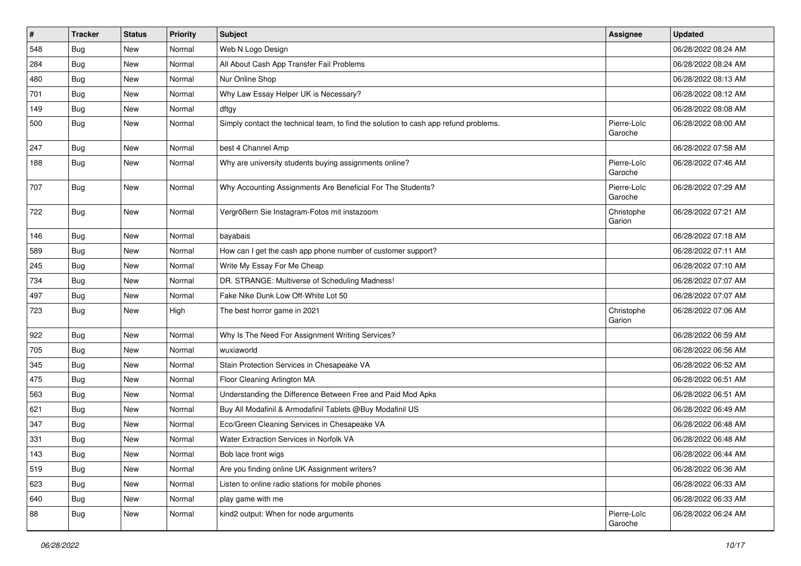| $\vert$ # | <b>Tracker</b> | <b>Status</b> | <b>Priority</b> | <b>Subject</b>                                                                       | Assignee               | <b>Updated</b>      |
|-----------|----------------|---------------|-----------------|--------------------------------------------------------------------------------------|------------------------|---------------------|
| 548       | <b>Bug</b>     | New           | Normal          | Web N Logo Design                                                                    |                        | 06/28/2022 08:24 AM |
| 284       | Bug            | <b>New</b>    | Normal          | All About Cash App Transfer Fail Problems                                            |                        | 06/28/2022 08:24 AM |
| 480       | Bug            | New           | Normal          | Nur Online Shop                                                                      |                        | 06/28/2022 08:13 AM |
| 701       | <b>Bug</b>     | New           | Normal          | Why Law Essay Helper UK is Necessary?                                                |                        | 06/28/2022 08:12 AM |
| 149       | <b>Bug</b>     | <b>New</b>    | Normal          | dftgy                                                                                |                        | 06/28/2022 08:08 AM |
| 500       | Bug            | New           | Normal          | Simply contact the technical team, to find the solution to cash app refund problems. | Pierre-Loïc<br>Garoche | 06/28/2022 08:00 AM |
| 247       | Bug            | <b>New</b>    | Normal          | best 4 Channel Amp                                                                   |                        | 06/28/2022 07:58 AM |
| 188       | Bug            | New           | Normal          | Why are university students buying assignments online?                               | Pierre-Loïc<br>Garoche | 06/28/2022 07:46 AM |
| 707       | Bug            | New           | Normal          | Why Accounting Assignments Are Beneficial For The Students?                          | Pierre-Loïc<br>Garoche | 06/28/2022 07:29 AM |
| 722       | <b>Bug</b>     | New           | Normal          | Vergrößern Sie Instagram-Fotos mit instazoom                                         | Christophe<br>Garion   | 06/28/2022 07:21 AM |
| 146       | Bug            | <b>New</b>    | Normal          | bayabais                                                                             |                        | 06/28/2022 07:18 AM |
| 589       | Bug            | <b>New</b>    | Normal          | How can I get the cash app phone number of customer support?                         |                        | 06/28/2022 07:11 AM |
| 245       | <b>Bug</b>     | New           | Normal          | Write My Essay For Me Cheap                                                          |                        | 06/28/2022 07:10 AM |
| 734       | <b>Bug</b>     | <b>New</b>    | Normal          | DR. STRANGE: Multiverse of Scheduling Madness!                                       |                        | 06/28/2022 07:07 AM |
| 497       | Bug            | New           | Normal          | Fake Nike Dunk Low Off-White Lot 50                                                  |                        | 06/28/2022 07:07 AM |
| 723       | Bug            | New           | High            | The best horror game in 2021                                                         | Christophe<br>Garion   | 06/28/2022 07:06 AM |
| 922       | Bug            | New           | Normal          | Why Is The Need For Assignment Writing Services?                                     |                        | 06/28/2022 06:59 AM |
| 705       | Bug            | New           | Normal          | wuxiaworld                                                                           |                        | 06/28/2022 06:56 AM |
| 345       | Bug            | <b>New</b>    | Normal          | Stain Protection Services in Chesapeake VA                                           |                        | 06/28/2022 06:52 AM |
| 475       | <b>Bug</b>     | New           | Normal          | Floor Cleaning Arlington MA                                                          |                        | 06/28/2022 06:51 AM |
| 563       | <b>Bug</b>     | <b>New</b>    | Normal          | Understanding the Difference Between Free and Paid Mod Apks                          |                        | 06/28/2022 06:51 AM |
| 621       | Bug            | New           | Normal          | Buy All Modafinil & Armodafinil Tablets @Buy Modafinil US                            |                        | 06/28/2022 06:49 AM |
| 347       | <b>Bug</b>     | New           | Normal          | Eco/Green Cleaning Services in Chesapeake VA                                         |                        | 06/28/2022 06:48 AM |
| 331       | <b>Bug</b>     | <b>New</b>    | Normal          | Water Extraction Services in Norfolk VA                                              |                        | 06/28/2022 06:48 AM |
| 143       | Bug            | New           | Normal          | Bob lace front wigs                                                                  |                        | 06/28/2022 06:44 AM |
| 519       | Bug            | New           | Normal          | Are you finding online UK Assignment writers?                                        |                        | 06/28/2022 06:36 AM |
| 623       | Bug            | New           | Normal          | Listen to online radio stations for mobile phones                                    |                        | 06/28/2022 06:33 AM |
| 640       | Bug            | New           | Normal          | play game with me                                                                    |                        | 06/28/2022 06:33 AM |
| 88        | Bug            | New           | Normal          | kind2 output: When for node arguments                                                | Pierre-Loïc<br>Garoche | 06/28/2022 06:24 AM |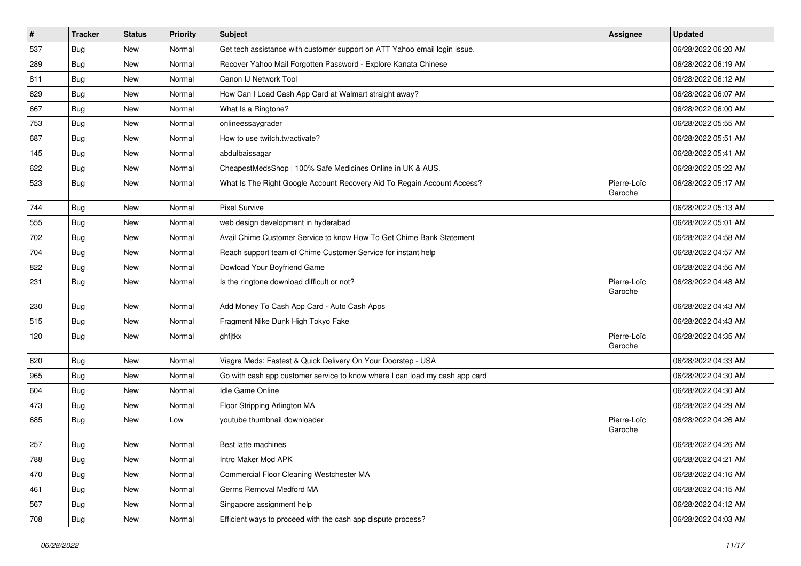| #   | <b>Tracker</b> | <b>Status</b> | <b>Priority</b> | Subject                                                                     | Assignee               | <b>Updated</b>      |
|-----|----------------|---------------|-----------------|-----------------------------------------------------------------------------|------------------------|---------------------|
| 537 | Bug            | New           | Normal          | Get tech assistance with customer support on ATT Yahoo email login issue.   |                        | 06/28/2022 06:20 AM |
| 289 | Bug            | <b>New</b>    | Normal          | Recover Yahoo Mail Forgotten Password - Explore Kanata Chinese              |                        | 06/28/2022 06:19 AM |
| 811 | Bug            | New           | Normal          | Canon IJ Network Tool                                                       |                        | 06/28/2022 06:12 AM |
| 629 | Bug            | <b>New</b>    | Normal          | How Can I Load Cash App Card at Walmart straight away?                      |                        | 06/28/2022 06:07 AM |
| 667 | Bug            | <b>New</b>    | Normal          | What Is a Ringtone?                                                         |                        | 06/28/2022 06:00 AM |
| 753 | Bug            | New           | Normal          | onlineessaygrader                                                           |                        | 06/28/2022 05:55 AM |
| 687 | Bug            | New           | Normal          | How to use twitch.tv/activate?                                              |                        | 06/28/2022 05:51 AM |
| 145 | Bug            | <b>New</b>    | Normal          | abdulbaissagar                                                              |                        | 06/28/2022 05:41 AM |
| 622 | Bug            | <b>New</b>    | Normal          | CheapestMedsShop   100% Safe Medicines Online in UK & AUS.                  |                        | 06/28/2022 05:22 AM |
| 523 | Bug            | <b>New</b>    | Normal          | What Is The Right Google Account Recovery Aid To Regain Account Access?     | Pierre-Loïc<br>Garoche | 06/28/2022 05:17 AM |
| 744 | Bug            | <b>New</b>    | Normal          | <b>Pixel Survive</b>                                                        |                        | 06/28/2022 05:13 AM |
| 555 | Bug            | <b>New</b>    | Normal          | web design development in hyderabad                                         |                        | 06/28/2022 05:01 AM |
| 702 | Bug            | <b>New</b>    | Normal          | Avail Chime Customer Service to know How To Get Chime Bank Statement        |                        | 06/28/2022 04:58 AM |
| 704 | Bug            | <b>New</b>    | Normal          | Reach support team of Chime Customer Service for instant help               |                        | 06/28/2022 04:57 AM |
| 822 | Bug            | New           | Normal          | Dowload Your Boyfriend Game                                                 |                        | 06/28/2022 04:56 AM |
| 231 | Bug            | <b>New</b>    | Normal          | Is the ringtone download difficult or not?                                  | Pierre-Loïc<br>Garoche | 06/28/2022 04:48 AM |
| 230 | Bug            | <b>New</b>    | Normal          | Add Money To Cash App Card - Auto Cash Apps                                 |                        | 06/28/2022 04:43 AM |
| 515 | Bug            | <b>New</b>    | Normal          | Fragment Nike Dunk High Tokyo Fake                                          |                        | 06/28/2022 04:43 AM |
| 120 | Bug            | <b>New</b>    | Normal          | ghfjtkx                                                                     | Pierre-Loïc<br>Garoche | 06/28/2022 04:35 AM |
| 620 | Bug            | <b>New</b>    | Normal          | Viagra Meds: Fastest & Quick Delivery On Your Doorstep - USA                |                        | 06/28/2022 04:33 AM |
| 965 | Bug            | <b>New</b>    | Normal          | Go with cash app customer service to know where I can load my cash app card |                        | 06/28/2022 04:30 AM |
| 604 | <b>Bug</b>     | <b>New</b>    | Normal          | Idle Game Online                                                            |                        | 06/28/2022 04:30 AM |
| 473 | <b>Bug</b>     | <b>New</b>    | Normal          | Floor Stripping Arlington MA                                                |                        | 06/28/2022 04:29 AM |
| 685 | Bug            | New           | Low             | voutube thumbnail downloader                                                | Pierre-Loïc<br>Garoche | 06/28/2022 04:26 AM |
| 257 | <b>Bug</b>     | <b>New</b>    | Normal          | Best latte machines                                                         |                        | 06/28/2022 04:26 AM |
| 788 | Bug            | New           | Normal          | Intro Maker Mod APK                                                         |                        | 06/28/2022 04:21 AM |
| 470 | Bug            | New           | Normal          | Commercial Floor Cleaning Westchester MA                                    |                        | 06/28/2022 04:16 AM |
| 461 | Bug            | New           | Normal          | Germs Removal Medford MA                                                    |                        | 06/28/2022 04:15 AM |
| 567 | Bug            | New           | Normal          | Singapore assignment help                                                   |                        | 06/28/2022 04:12 AM |
| 708 | <b>Bug</b>     | New           | Normal          | Efficient ways to proceed with the cash app dispute process?                |                        | 06/28/2022 04:03 AM |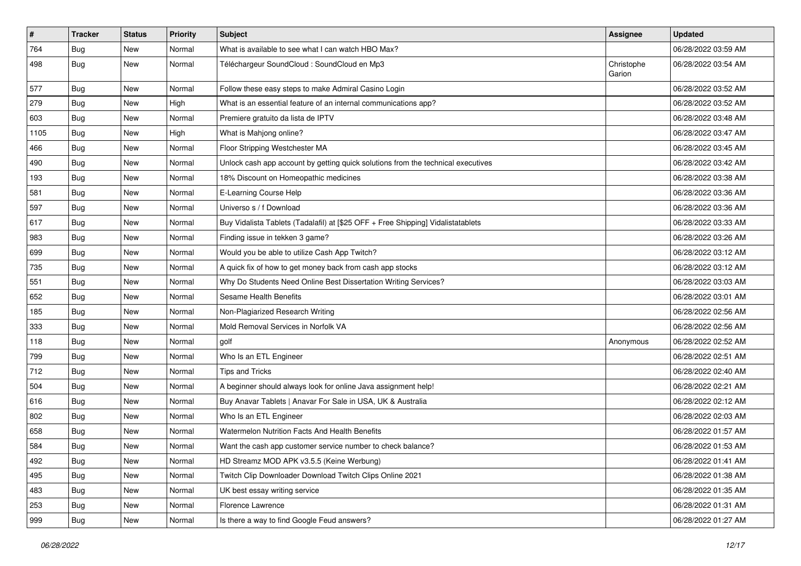| $\vert$ # | <b>Tracker</b> | <b>Status</b> | <b>Priority</b> | Subject                                                                          | Assignee             | <b>Updated</b>      |
|-----------|----------------|---------------|-----------------|----------------------------------------------------------------------------------|----------------------|---------------------|
| 764       | <b>Bug</b>     | New           | Normal          | What is available to see what I can watch HBO Max?                               |                      | 06/28/2022 03:59 AM |
| 498       | <b>Bug</b>     | New           | Normal          | Téléchargeur SoundCloud : SoundCloud en Mp3                                      | Christophe<br>Garion | 06/28/2022 03:54 AM |
| 577       | Bug            | New           | Normal          | Follow these easy steps to make Admiral Casino Login                             |                      | 06/28/2022 03:52 AM |
| 279       | Bug            | New           | High            | What is an essential feature of an internal communications app?                  |                      | 06/28/2022 03:52 AM |
| 603       | <b>Bug</b>     | New           | Normal          | Premiere gratuito da lista de IPTV                                               |                      | 06/28/2022 03:48 AM |
| 1105      | <b>Bug</b>     | New           | High            | What is Mahjong online?                                                          |                      | 06/28/2022 03:47 AM |
| 466       | Bug            | New           | Normal          | Floor Stripping Westchester MA                                                   |                      | 06/28/2022 03:45 AM |
| 490       | <b>Bug</b>     | New           | Normal          | Unlock cash app account by getting quick solutions from the technical executives |                      | 06/28/2022 03:42 AM |
| 193       | Bug            | New           | Normal          | 18% Discount on Homeopathic medicines                                            |                      | 06/28/2022 03:38 AM |
| 581       | <b>Bug</b>     | New           | Normal          | E-Learning Course Help                                                           |                      | 06/28/2022 03:36 AM |
| 597       | Bug            | New           | Normal          | Universo s / f Download                                                          |                      | 06/28/2022 03:36 AM |
| 617       | Bug            | New           | Normal          | Buy Vidalista Tablets (Tadalafil) at [\$25 OFF + Free Shipping] Vidalistatablets |                      | 06/28/2022 03:33 AM |
| 983       | <b>Bug</b>     | New           | Normal          | Finding issue in tekken 3 game?                                                  |                      | 06/28/2022 03:26 AM |
| 699       | Bug            | New           | Normal          | Would you be able to utilize Cash App Twitch?                                    |                      | 06/28/2022 03:12 AM |
| 735       | Bug            | New           | Normal          | A quick fix of how to get money back from cash app stocks                        |                      | 06/28/2022 03:12 AM |
| 551       | Bug            | New           | Normal          | Why Do Students Need Online Best Dissertation Writing Services?                  |                      | 06/28/2022 03:03 AM |
| 652       | Bug            | New           | Normal          | Sesame Health Benefits                                                           |                      | 06/28/2022 03:01 AM |
| 185       | <b>Bug</b>     | New           | Normal          | Non-Plagiarized Research Writing                                                 |                      | 06/28/2022 02:56 AM |
| 333       | Bug            | New           | Normal          | Mold Removal Services in Norfolk VA                                              |                      | 06/28/2022 02:56 AM |
| 118       | Bug            | New           | Normal          | golf                                                                             | Anonymous            | 06/28/2022 02:52 AM |
| 799       | <b>Bug</b>     | New           | Normal          | Who Is an ETL Engineer                                                           |                      | 06/28/2022 02:51 AM |
| 712       | Bug            | New           | Normal          | <b>Tips and Tricks</b>                                                           |                      | 06/28/2022 02:40 AM |
| 504       | <b>Bug</b>     | New           | Normal          | A beginner should always look for online Java assignment help!                   |                      | 06/28/2022 02:21 AM |
| 616       | Bug            | New           | Normal          | Buy Anavar Tablets   Anavar For Sale in USA, UK & Australia                      |                      | 06/28/2022 02:12 AM |
| 802       | Bug            | New           | Normal          | Who Is an ETL Engineer                                                           |                      | 06/28/2022 02:03 AM |
| 658       | Bug            | New           | Normal          | Watermelon Nutrition Facts And Health Benefits                                   |                      | 06/28/2022 01:57 AM |
| 584       | <b>Bug</b>     | New           | Normal          | Want the cash app customer service number to check balance?                      |                      | 06/28/2022 01:53 AM |
| 492       | Bug            | New           | Normal          | HD Streamz MOD APK v3.5.5 (Keine Werbung)                                        |                      | 06/28/2022 01:41 AM |
| 495       | Bug            | New           | Normal          | Twitch Clip Downloader Download Twitch Clips Online 2021                         |                      | 06/28/2022 01:38 AM |
| 483       | Bug            | New           | Normal          | UK best essay writing service                                                    |                      | 06/28/2022 01:35 AM |
| 253       | <b>Bug</b>     | New           | Normal          | Florence Lawrence                                                                |                      | 06/28/2022 01:31 AM |
| 999       | <b>Bug</b>     | New           | Normal          | Is there a way to find Google Feud answers?                                      |                      | 06/28/2022 01:27 AM |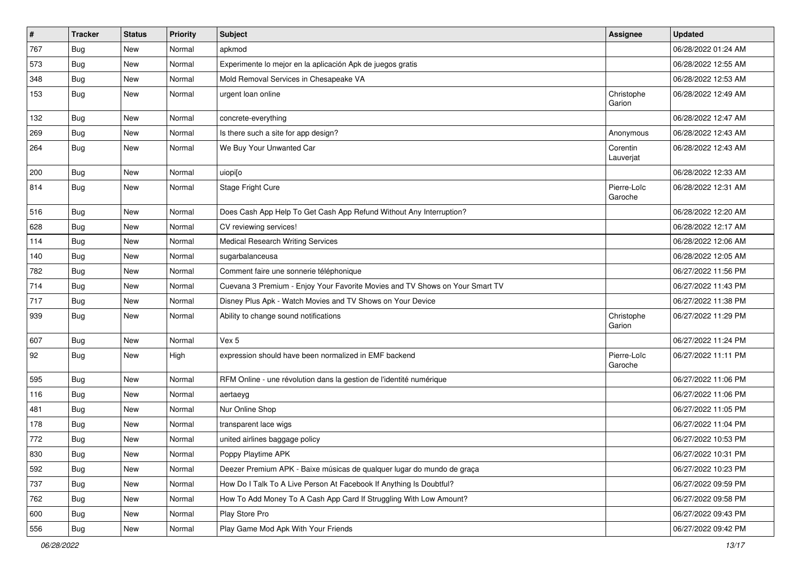| $\sharp$ | <b>Tracker</b> | <b>Status</b> | <b>Priority</b> | <b>Subject</b>                                                               | <b>Assignee</b>        | <b>Updated</b>      |
|----------|----------------|---------------|-----------------|------------------------------------------------------------------------------|------------------------|---------------------|
| 767      | Bug            | New           | Normal          | apkmod                                                                       |                        | 06/28/2022 01:24 AM |
| 573      | <b>Bug</b>     | <b>New</b>    | Normal          | Experimente lo mejor en la aplicación Apk de juegos gratis                   |                        | 06/28/2022 12:55 AM |
| 348      | Bug            | New           | Normal          | Mold Removal Services in Chesapeake VA                                       |                        | 06/28/2022 12:53 AM |
| 153      | Bug            | New           | Normal          | urgent loan online                                                           | Christophe<br>Garion   | 06/28/2022 12:49 AM |
| 132      | <b>Bug</b>     | New           | Normal          | concrete-everything                                                          |                        | 06/28/2022 12:47 AM |
| 269      | Bug            | New           | Normal          | Is there such a site for app design?                                         | Anonymous              | 06/28/2022 12:43 AM |
| 264      | Bug            | New           | Normal          | We Buy Your Unwanted Car                                                     | Corentin<br>Lauverjat  | 06/28/2022 12:43 AM |
| 200      | Bug            | <b>New</b>    | Normal          | uiopi[o                                                                      |                        | 06/28/2022 12:33 AM |
| 814      | Bug            | New           | Normal          | Stage Fright Cure                                                            | Pierre-Loïc<br>Garoche | 06/28/2022 12:31 AM |
| 516      | Bug            | New           | Normal          | Does Cash App Help To Get Cash App Refund Without Any Interruption?          |                        | 06/28/2022 12:20 AM |
| 628      | <b>Bug</b>     | New           | Normal          | CV reviewing services!                                                       |                        | 06/28/2022 12:17 AM |
| 114      | Bug            | New           | Normal          | <b>Medical Research Writing Services</b>                                     |                        | 06/28/2022 12:06 AM |
| 140      | Bug            | New           | Normal          | sugarbalanceusa                                                              |                        | 06/28/2022 12:05 AM |
| 782      | Bug            | <b>New</b>    | Normal          | Comment faire une sonnerie téléphonique                                      |                        | 06/27/2022 11:56 PM |
| 714      | Bug            | <b>New</b>    | Normal          | Cuevana 3 Premium - Enjoy Your Favorite Movies and TV Shows on Your Smart TV |                        | 06/27/2022 11:43 PM |
| 717      | Bug            | New           | Normal          | Disney Plus Apk - Watch Movies and TV Shows on Your Device                   |                        | 06/27/2022 11:38 PM |
| 939      | Bug            | New           | Normal          | Ability to change sound notifications                                        | Christophe<br>Garion   | 06/27/2022 11:29 PM |
| 607      | <b>Bug</b>     | <b>New</b>    | Normal          | Vex 5                                                                        |                        | 06/27/2022 11:24 PM |
| 92       | Bug            | New           | High            | expression should have been normalized in EMF backend                        | Pierre-Loïc<br>Garoche | 06/27/2022 11:11 PM |
| 595      | Bug            | New           | Normal          | RFM Online - une révolution dans la gestion de l'identité numérique          |                        | 06/27/2022 11:06 PM |
| 116      | <b>Bug</b>     | New           | Normal          | aertaeyg                                                                     |                        | 06/27/2022 11:06 PM |
| 481      | Bug            | New           | Normal          | Nur Online Shop                                                              |                        | 06/27/2022 11:05 PM |
| 178      | Bug            | New           | Normal          | transparent lace wigs                                                        |                        | 06/27/2022 11:04 PM |
| 772      | <b>Bug</b>     | <b>New</b>    | Normal          | united airlines baggage policy                                               |                        | 06/27/2022 10:53 PM |
| 830      | Bug            | New           | Normal          | Poppy Playtime APK                                                           |                        | 06/27/2022 10:31 PM |
| 592      | Bug            | New           | Normal          | Deezer Premium APK - Baixe músicas de qualquer lugar do mundo de graça       |                        | 06/27/2022 10:23 PM |
| 737      | Bug            | New           | Normal          | How Do I Talk To A Live Person At Facebook If Anything Is Doubtful?          |                        | 06/27/2022 09:59 PM |
| 762      | Bug            | New           | Normal          | How To Add Money To A Cash App Card If Struggling With Low Amount?           |                        | 06/27/2022 09:58 PM |
| 600      | Bug            | New           | Normal          | Play Store Pro                                                               |                        | 06/27/2022 09:43 PM |
| 556      | <b>Bug</b>     | New           | Normal          | Play Game Mod Apk With Your Friends                                          |                        | 06/27/2022 09:42 PM |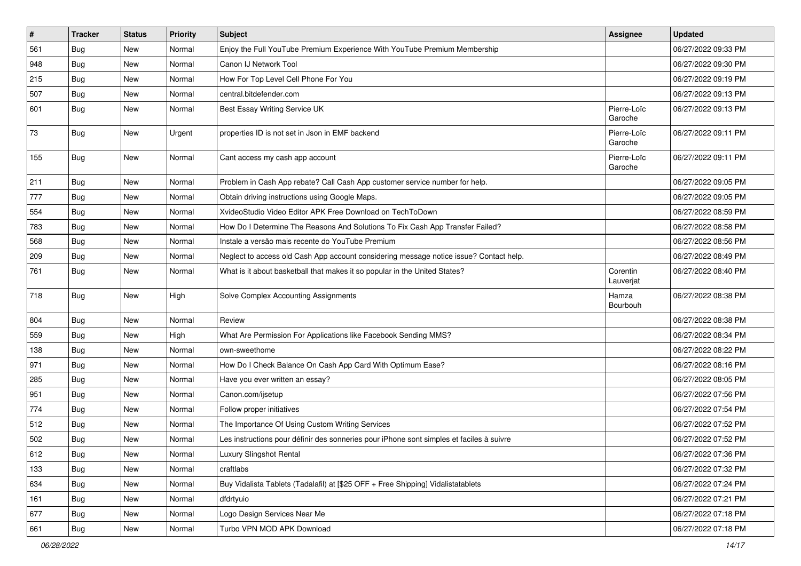| #   | <b>Tracker</b> | <b>Status</b> | <b>Priority</b> | <b>Subject</b>                                                                           | <b>Assignee</b>        | <b>Updated</b>      |
|-----|----------------|---------------|-----------------|------------------------------------------------------------------------------------------|------------------------|---------------------|
| 561 | <b>Bug</b>     | New           | Normal          | Enjoy the Full YouTube Premium Experience With YouTube Premium Membership                |                        | 06/27/2022 09:33 PM |
| 948 | Bug            | New           | Normal          | Canon IJ Network Tool                                                                    |                        | 06/27/2022 09:30 PM |
| 215 | Bug            | New           | Normal          | How For Top Level Cell Phone For You                                                     |                        | 06/27/2022 09:19 PM |
| 507 | Bug            | New           | Normal          | central.bitdefender.com                                                                  |                        | 06/27/2022 09:13 PM |
| 601 | <b>Bug</b>     | New           | Normal          | Best Essay Writing Service UK                                                            | Pierre-Loïc<br>Garoche | 06/27/2022 09:13 PM |
| 73  | Bug            | New           | Urgent          | properties ID is not set in Json in EMF backend                                          | Pierre-Loïc<br>Garoche | 06/27/2022 09:11 PM |
| 155 | Bug            | New           | Normal          | Cant access my cash app account                                                          | Pierre-Loïc<br>Garoche | 06/27/2022 09:11 PM |
| 211 | Bug            | <b>New</b>    | Normal          | Problem in Cash App rebate? Call Cash App customer service number for help.              |                        | 06/27/2022 09:05 PM |
| 777 | <b>Bug</b>     | New           | Normal          | Obtain driving instructions using Google Maps.                                           |                        | 06/27/2022 09:05 PM |
| 554 | <b>Bug</b>     | New           | Normal          | XvideoStudio Video Editor APK Free Download on TechToDown                                |                        | 06/27/2022 08:59 PM |
| 783 | Bug            | New           | Normal          | How Do I Determine The Reasons And Solutions To Fix Cash App Transfer Failed?            |                        | 06/27/2022 08:58 PM |
| 568 | <b>Bug</b>     | New           | Normal          | Instale a versão mais recente do YouTube Premium                                         |                        | 06/27/2022 08:56 PM |
| 209 | Bug            | <b>New</b>    | Normal          | Neglect to access old Cash App account considering message notice issue? Contact help.   |                        | 06/27/2022 08:49 PM |
| 761 | Bug            | New           | Normal          | What is it about basketball that makes it so popular in the United States?               | Corentin<br>Lauverjat  | 06/27/2022 08:40 PM |
| 718 | Bug            | New           | High            | Solve Complex Accounting Assignments                                                     | Hamza<br>Bourbouh      | 06/27/2022 08:38 PM |
| 804 | Bug            | <b>New</b>    | Normal          | Review                                                                                   |                        | 06/27/2022 08:38 PM |
| 559 | Bug            | New           | High            | What Are Permission For Applications like Facebook Sending MMS?                          |                        | 06/27/2022 08:34 PM |
| 138 | Bug            | New           | Normal          | own-sweethome                                                                            |                        | 06/27/2022 08:22 PM |
| 971 | Bug            | <b>New</b>    | Normal          | How Do I Check Balance On Cash App Card With Optimum Ease?                               |                        | 06/27/2022 08:16 PM |
| 285 | <b>Bug</b>     | New           | Normal          | Have you ever written an essay?                                                          |                        | 06/27/2022 08:05 PM |
| 951 | <b>Bug</b>     | New           | Normal          | Canon.com/ijsetup                                                                        |                        | 06/27/2022 07:56 PM |
| 774 | Bug            | New           | Normal          | Follow proper initiatives                                                                |                        | 06/27/2022 07:54 PM |
| 512 | Bug            | New           | Normal          | The Importance Of Using Custom Writing Services                                          |                        | 06/27/2022 07:52 PM |
| 502 | Bug            | New           | Normal          | Les instructions pour définir des sonneries pour iPhone sont simples et faciles à suivre |                        | 06/27/2022 07:52 PM |
| 612 | Bug            | New           | Normal          | <b>Luxury Slingshot Rental</b>                                                           |                        | 06/27/2022 07:36 PM |
| 133 | Bug            | New           | Normal          | craftlabs                                                                                |                        | 06/27/2022 07:32 PM |
| 634 | Bug            | New           | Normal          | Buy Vidalista Tablets (Tadalafil) at [\$25 OFF + Free Shipping] Vidalistatablets         |                        | 06/27/2022 07:24 PM |
| 161 | Bug            | New           | Normal          | dfdrtyuio                                                                                |                        | 06/27/2022 07:21 PM |
| 677 | Bug            | New           | Normal          | Logo Design Services Near Me                                                             |                        | 06/27/2022 07:18 PM |
| 661 | Bug            | New           | Normal          | Turbo VPN MOD APK Download                                                               |                        | 06/27/2022 07:18 PM |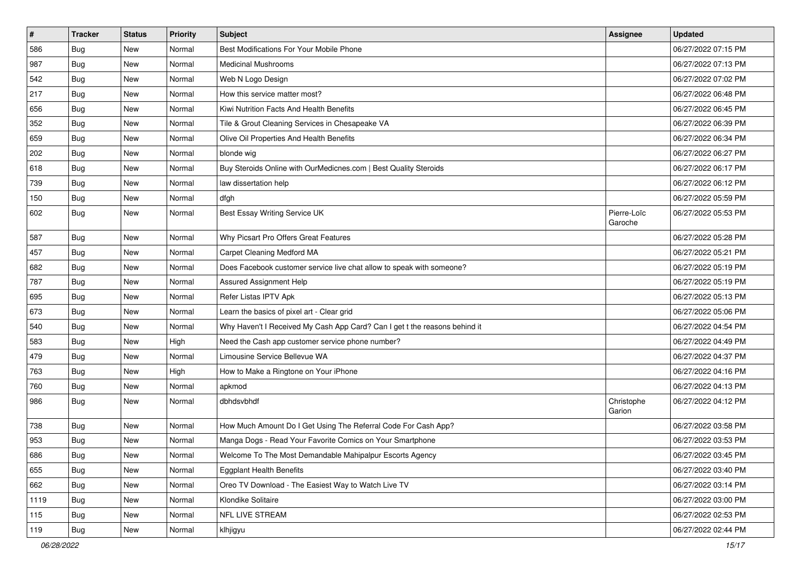| $\vert$ # | <b>Tracker</b> | <b>Status</b> | <b>Priority</b> | <b>Subject</b>                                                             | Assignee               | <b>Updated</b>      |
|-----------|----------------|---------------|-----------------|----------------------------------------------------------------------------|------------------------|---------------------|
| 586       | <b>Bug</b>     | New           | Normal          | Best Modifications For Your Mobile Phone                                   |                        | 06/27/2022 07:15 PM |
| 987       | <b>Bug</b>     | <b>New</b>    | Normal          | <b>Medicinal Mushrooms</b>                                                 |                        | 06/27/2022 07:13 PM |
| 542       | Bug            | New           | Normal          | Web N Logo Design                                                          |                        | 06/27/2022 07:02 PM |
| 217       | <b>Bug</b>     | New           | Normal          | How this service matter most?                                              |                        | 06/27/2022 06:48 PM |
| 656       | Bug            | New           | Normal          | Kiwi Nutrition Facts And Health Benefits                                   |                        | 06/27/2022 06:45 PM |
| 352       | <b>Bug</b>     | New           | Normal          | Tile & Grout Cleaning Services in Chesapeake VA                            |                        | 06/27/2022 06:39 PM |
| 659       | Bug            | <b>New</b>    | Normal          | Olive Oil Properties And Health Benefits                                   |                        | 06/27/2022 06:34 PM |
| 202       | <b>Bug</b>     | New           | Normal          | blonde wig                                                                 |                        | 06/27/2022 06:27 PM |
| 618       | <b>Bug</b>     | <b>New</b>    | Normal          | Buy Steroids Online with OurMedicnes.com   Best Quality Steroids           |                        | 06/27/2022 06:17 PM |
| 739       | Bug            | New           | Normal          | law dissertation help                                                      |                        | 06/27/2022 06:12 PM |
| 150       | Bug            | New           | Normal          | dfgh                                                                       |                        | 06/27/2022 05:59 PM |
| 602       | Bug            | New           | Normal          | Best Essay Writing Service UK                                              | Pierre-Loïc<br>Garoche | 06/27/2022 05:53 PM |
| 587       | Bug            | New           | Normal          | Why Picsart Pro Offers Great Features                                      |                        | 06/27/2022 05:28 PM |
| 457       | <b>Bug</b>     | <b>New</b>    | Normal          | Carpet Cleaning Medford MA                                                 |                        | 06/27/2022 05:21 PM |
| 682       | <b>Bug</b>     | <b>New</b>    | Normal          | Does Facebook customer service live chat allow to speak with someone?      |                        | 06/27/2022 05:19 PM |
| 787       | Bug            | New           | Normal          | Assured Assignment Help                                                    |                        | 06/27/2022 05:19 PM |
| 695       | Bug            | New           | Normal          | Refer Listas IPTV Apk                                                      |                        | 06/27/2022 05:13 PM |
| 673       | Bug            | New           | Normal          | Learn the basics of pixel art - Clear grid                                 |                        | 06/27/2022 05:06 PM |
| 540       | Bug            | <b>New</b>    | Normal          | Why Haven't I Received My Cash App Card? Can I get t the reasons behind it |                        | 06/27/2022 04:54 PM |
| 583       | Bug            | <b>New</b>    | High            | Need the Cash app customer service phone number?                           |                        | 06/27/2022 04:49 PM |
| 479       | Bug            | New           | Normal          | Limousine Service Bellevue WA                                              |                        | 06/27/2022 04:37 PM |
| 763       | Bug            | New           | High            | How to Make a Ringtone on Your iPhone                                      |                        | 06/27/2022 04:16 PM |
| 760       | <b>Bug</b>     | New           | Normal          | apkmod                                                                     |                        | 06/27/2022 04:13 PM |
| 986       | <b>Bug</b>     | New           | Normal          | dbhdsvbhdf                                                                 | Christophe<br>Garion   | 06/27/2022 04:12 PM |
| 738       | Bug            | New           | Normal          | How Much Amount Do I Get Using The Referral Code For Cash App?             |                        | 06/27/2022 03:58 PM |
| 953       | <b>Bug</b>     | New           | Normal          | Manga Dogs - Read Your Favorite Comics on Your Smartphone                  |                        | 06/27/2022 03:53 PM |
| 686       | Bug            | New           | Normal          | Welcome To The Most Demandable Mahipalpur Escorts Agency                   |                        | 06/27/2022 03:45 PM |
| 655       | Bug            | New           | Normal          | <b>Eggplant Health Benefits</b>                                            |                        | 06/27/2022 03:40 PM |
| 662       | Bug            | New           | Normal          | Oreo TV Download - The Easiest Way to Watch Live TV                        |                        | 06/27/2022 03:14 PM |
| 1119      | Bug            | New           | Normal          | Klondike Solitaire                                                         |                        | 06/27/2022 03:00 PM |
| 115       | Bug            | New           | Normal          | NFL LIVE STREAM                                                            |                        | 06/27/2022 02:53 PM |
| 119       | Bug            | New           | Normal          | klhjigyu                                                                   |                        | 06/27/2022 02:44 PM |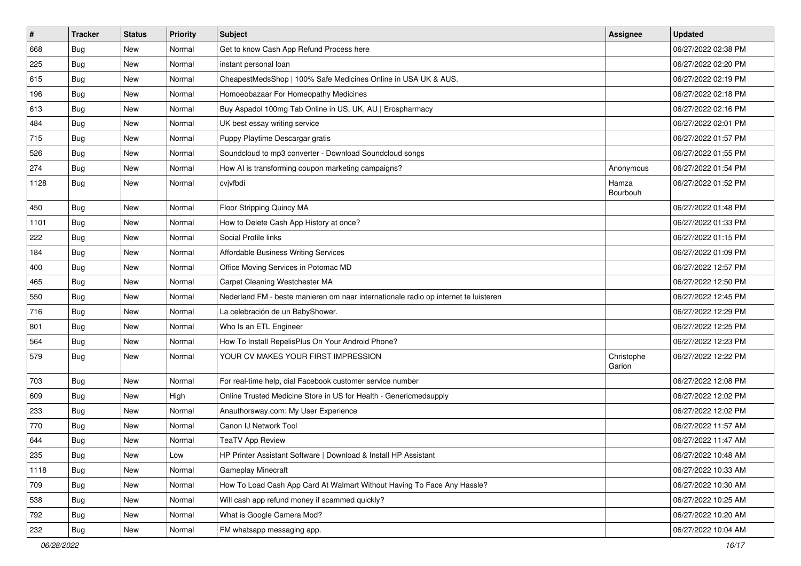| #    | <b>Tracker</b> | <b>Status</b> | Priority | <b>Subject</b>                                                                      | Assignee             | <b>Updated</b>      |
|------|----------------|---------------|----------|-------------------------------------------------------------------------------------|----------------------|---------------------|
| 668  | <b>Bug</b>     | New           | Normal   | Get to know Cash App Refund Process here                                            |                      | 06/27/2022 02:38 PM |
| 225  | Bug            | New           | Normal   | instant personal loan                                                               |                      | 06/27/2022 02:20 PM |
| 615  | Bug            | New           | Normal   | CheapestMedsShop   100% Safe Medicines Online in USA UK & AUS.                      |                      | 06/27/2022 02:19 PM |
| 196  | <b>Bug</b>     | New           | Normal   | Homoeobazaar For Homeopathy Medicines                                               |                      | 06/27/2022 02:18 PM |
| 613  | Bug            | New           | Normal   | Buy Aspadol 100mg Tab Online in US, UK, AU   Erospharmacy                           |                      | 06/27/2022 02:16 PM |
| 484  | <b>Bug</b>     | New           | Normal   | UK best essay writing service                                                       |                      | 06/27/2022 02:01 PM |
| 715  | <b>Bug</b>     | New           | Normal   | Puppy Playtime Descargar gratis                                                     |                      | 06/27/2022 01:57 PM |
| 526  | <b>Bug</b>     | New           | Normal   | Soundcloud to mp3 converter - Download Soundcloud songs                             |                      | 06/27/2022 01:55 PM |
| 274  | Bug            | New           | Normal   | How AI is transforming coupon marketing campaigns?                                  | Anonymous            | 06/27/2022 01:54 PM |
| 1128 | <b>Bug</b>     | New           | Normal   | cvjvfbdi                                                                            | Hamza<br>Bourbouh    | 06/27/2022 01:52 PM |
| 450  | <b>Bug</b>     | <b>New</b>    | Normal   | Floor Stripping Quincy MA                                                           |                      | 06/27/2022 01:48 PM |
| 1101 | <b>Bug</b>     | New           | Normal   | How to Delete Cash App History at once?                                             |                      | 06/27/2022 01:33 PM |
| 222  | <b>Bug</b>     | New           | Normal   | Social Profile links                                                                |                      | 06/27/2022 01:15 PM |
| 184  | <b>Bug</b>     | New           | Normal   | <b>Affordable Business Writing Services</b>                                         |                      | 06/27/2022 01:09 PM |
| 400  | <b>Bug</b>     | New           | Normal   | Office Moving Services in Potomac MD                                                |                      | 06/27/2022 12:57 PM |
| 465  | <b>Bug</b>     | New           | Normal   | Carpet Cleaning Westchester MA                                                      |                      | 06/27/2022 12:50 PM |
| 550  | Bug            | New           | Normal   | Nederland FM - beste manieren om naar internationale radio op internet te luisteren |                      | 06/27/2022 12:45 PM |
| 716  | <b>Bug</b>     | New           | Normal   | La celebración de un BabyShower.                                                    |                      | 06/27/2022 12:29 PM |
| 801  | <b>Bug</b>     | New           | Normal   | Who Is an ETL Engineer                                                              |                      | 06/27/2022 12:25 PM |
| 564  | Bug            | New           | Normal   | How To Install RepelisPlus On Your Android Phone?                                   |                      | 06/27/2022 12:23 PM |
| 579  | <b>Bug</b>     | New           | Normal   | YOUR CV MAKES YOUR FIRST IMPRESSION                                                 | Christophe<br>Garion | 06/27/2022 12:22 PM |
| 703  | <b>Bug</b>     | New           | Normal   | For real-time help, dial Facebook customer service number                           |                      | 06/27/2022 12:08 PM |
| 609  | <b>Bug</b>     | New           | High     | Online Trusted Medicine Store in US for Health - Genericmedsupply                   |                      | 06/27/2022 12:02 PM |
| 233  | <b>Bug</b>     | New           | Normal   | Anauthorsway.com: My User Experience                                                |                      | 06/27/2022 12:02 PM |
| 770  | <b>Bug</b>     | New           | Normal   | Canon IJ Network Tool                                                               |                      | 06/27/2022 11:57 AM |
| 644  | <b>Bug</b>     | New           | Normal   | <b>TeaTV App Review</b>                                                             |                      | 06/27/2022 11:47 AM |
| 235  | Bug            | New           | Low      | HP Printer Assistant Software   Download & Install HP Assistant                     |                      | 06/27/2022 10:48 AM |
| 1118 | <b>Bug</b>     | New           | Normal   | Gameplay Minecraft                                                                  |                      | 06/27/2022 10:33 AM |
| 709  | <b>Bug</b>     | New           | Normal   | How To Load Cash App Card At Walmart Without Having To Face Any Hassle?             |                      | 06/27/2022 10:30 AM |
| 538  | <b>Bug</b>     | New           | Normal   | Will cash app refund money if scammed quickly?                                      |                      | 06/27/2022 10:25 AM |
| 792  | <b>Bug</b>     | New           | Normal   | What is Google Camera Mod?                                                          |                      | 06/27/2022 10:20 AM |
| 232  | <b>Bug</b>     | New           | Normal   | FM whatsapp messaging app.                                                          |                      | 06/27/2022 10:04 AM |